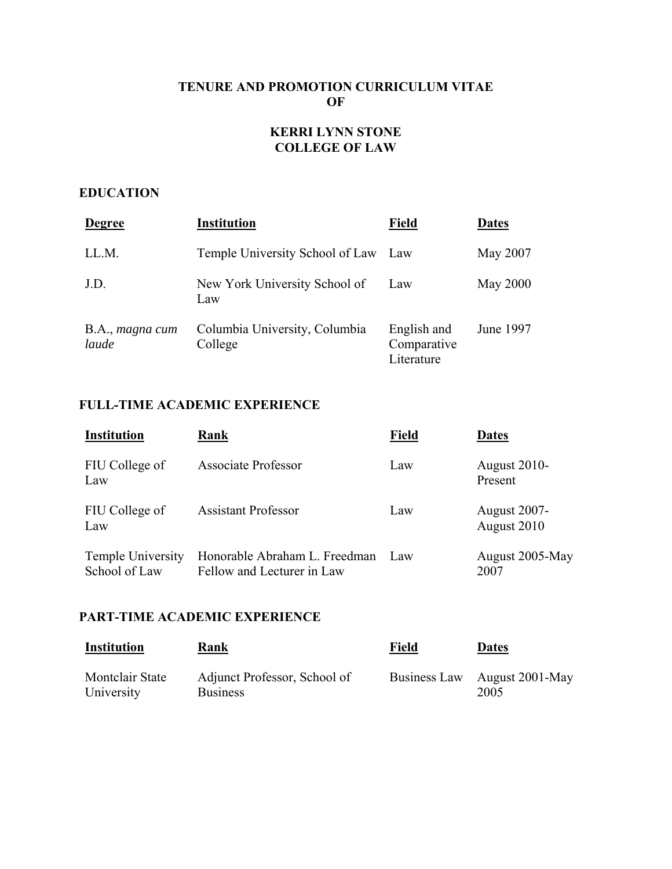## **TENURE AND PROMOTION CURRICULUM VITAE OF**

## **KERRI LYNN STONE COLLEGE OF LAW**

#### **EDUCATION**

| <b>Degree</b>            | <b>Institution</b>                       | <b>Field</b>                             | <b>Dates</b>    |
|--------------------------|------------------------------------------|------------------------------------------|-----------------|
| LL.M.                    | Temple University School of Law          | Law                                      | May 2007        |
| J.D.                     | New York University School of<br>Law     | Law                                      | <b>May 2000</b> |
| B.A., magna cum<br>laude | Columbia University, Columbia<br>College | English and<br>Comparative<br>Literature | June 1997       |

## **FULL-TIME ACADEMIC EXPERIENCE**

| <b>Institution</b>                        | Rank                                                        | <b>Field</b> | <b>Dates</b>                       |
|-------------------------------------------|-------------------------------------------------------------|--------------|------------------------------------|
| FIU College of<br>Law                     | <b>Associate Professor</b>                                  | Law          | <b>August 2010-</b><br>Present     |
| FIU College of<br>Law                     | <b>Assistant Professor</b>                                  | Law          | <b>August 2007-</b><br>August 2010 |
| <b>Temple University</b><br>School of Law | Honorable Abraham L. Freedman<br>Fellow and Lecturer in Law | Law          | August 2005-May<br>2007            |

## **PART-TIME ACADEMIC EXPERIENCE**

| <b>Institution</b>     | Rank                         | Field        | <b>Dates</b>    |
|------------------------|------------------------------|--------------|-----------------|
| <b>Montclair State</b> | Adjunct Professor, School of | Business Law | August 2001-May |
| University             | <b>Business</b>              |              | 2005            |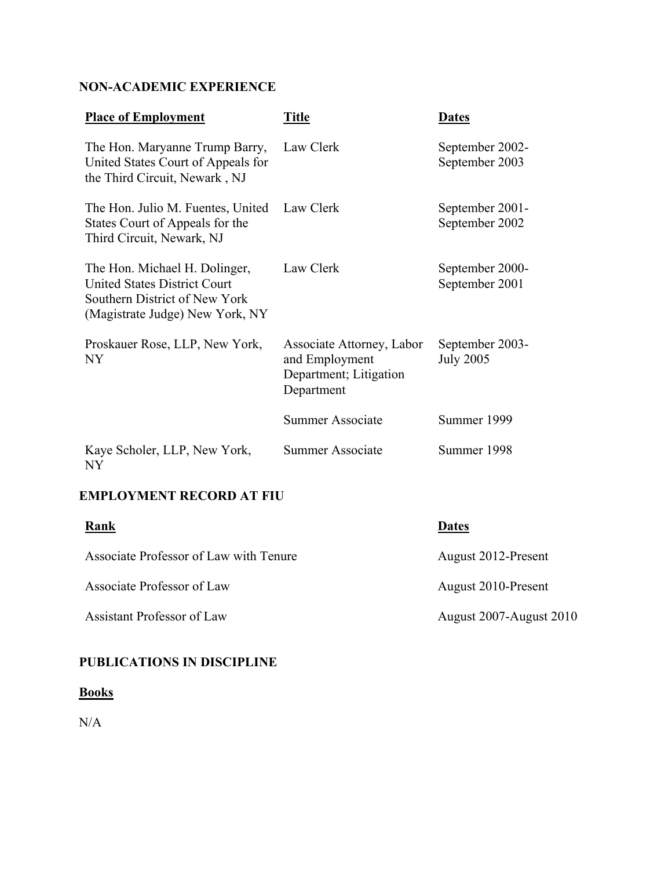## **NON-ACADEMIC EXPERIENCE**

| <b>Place of Employment</b>                                                                                                               | <b>Title</b>                                                                        | <b>Dates</b>                        |
|------------------------------------------------------------------------------------------------------------------------------------------|-------------------------------------------------------------------------------------|-------------------------------------|
| The Hon. Maryanne Trump Barry,<br>United States Court of Appeals for<br>the Third Circuit, Newark, NJ                                    | Law Clerk                                                                           | September 2002-<br>September 2003   |
| The Hon. Julio M. Fuentes, United<br>States Court of Appeals for the<br>Third Circuit, Newark, NJ                                        | Law Clerk                                                                           | September 2001-<br>September 2002   |
| The Hon. Michael H. Dolinger,<br><b>United States District Court</b><br>Southern District of New York<br>(Magistrate Judge) New York, NY | Law Clerk                                                                           | September 2000-<br>September 2001   |
| Proskauer Rose, LLP, New York,<br>NY.                                                                                                    | Associate Attorney, Labor<br>and Employment<br>Department; Litigation<br>Department | September 2003-<br><b>July 2005</b> |
|                                                                                                                                          | Summer Associate                                                                    | Summer 1999                         |
| Kaye Scholer, LLP, New York,<br>NY                                                                                                       | Summer Associate                                                                    | Summer 1998                         |

## **EMPLOYMENT RECORD AT FIU**

| Rank                                   | <b>Dates</b>            |
|----------------------------------------|-------------------------|
| Associate Professor of Law with Tenure | August 2012-Present     |
| Associate Professor of Law             | August 2010-Present     |
| Assistant Professor of Law             | August 2007-August 2010 |

## **PUBLICATIONS IN DISCIPLINE**

## **Books**

N/A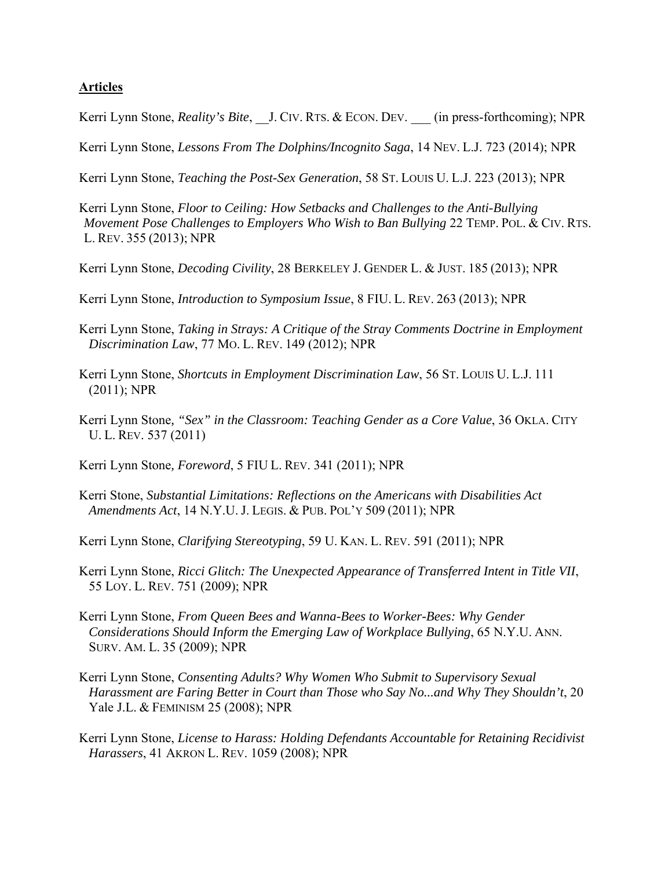#### **Articles**

Kerri Lynn Stone, *Reality's Bite*, J. CIV. RTS. & ECON. DEV. (in press-forthcoming); NPR

Kerri Lynn Stone, *Lessons From The Dolphins/Incognito Saga*, 14 NEV. L.J. 723 (2014); NPR

Kerri Lynn Stone, *Teaching the Post-Sex Generation*, 58 ST. LOUIS U. L.J. 223 (2013); NPR

- Kerri Lynn Stone, *Floor to Ceiling: How Setbacks and Challenges to the Anti-Bullying Movement Pose Challenges to Employers Who Wish to Ban Bullying* 22 TEMP. POL. & CIV. RTS. L. REV. 355 (2013); NPR
- Kerri Lynn Stone, *Decoding Civility*, 28 BERKELEY J. GENDER L. & JUST. 185 (2013); NPR
- Kerri Lynn Stone, *Introduction to Symposium Issue*, 8 FIU. L. REV. 263 (2013); NPR
- Kerri Lynn Stone, *Taking in Strays: A Critique of the Stray Comments Doctrine in Employment Discrimination Law*, 77 MO. L. REV. 149 (2012); NPR
- Kerri Lynn Stone, *Shortcuts in Employment Discrimination Law*, 56 ST. LOUIS U. L.J. 111 (2011); NPR
- Kerri Lynn Stone*, "Sex" in the Classroom: Teaching Gender as a Core Value*, 36 OKLA. CITY U. L. REV. 537 (2011)
- Kerri Lynn Stone*, Foreword*, 5 FIU L. REV. 341 (2011); NPR
- Kerri Stone, *Substantial Limitations: Reflections on the Americans with Disabilities Act Amendments Act*, 14 N.Y.U. J. LEGIS. & PUB. POL'Y 509 (2011); NPR
- Kerri Lynn Stone, *Clarifying Stereotyping*, 59 U. KAN. L. REV. 591 (2011); NPR
- Kerri Lynn Stone, *Ricci Glitch: The Unexpected Appearance of Transferred Intent in Title VII*, 55 LOY. L. REV. 751 (2009); NPR
- Kerri Lynn Stone, *From Queen Bees and Wanna-Bees to Worker-Bees: Why Gender Considerations Should Inform the Emerging Law of Workplace Bullying*, 65 N.Y.U. ANN. SURV. AM. L. 35 (2009); NPR
- Kerri Lynn Stone, *Consenting Adults? Why Women Who Submit to Supervisory Sexual Harassment are Faring Better in Court than Those who Say No...and Why They Shouldn't*, 20 Yale J.L. & FEMINISM 25 (2008); NPR
- Kerri Lynn Stone, *License to Harass: Holding Defendants Accountable for Retaining Recidivist Harassers*, 41 AKRON L. REV. 1059 (2008); NPR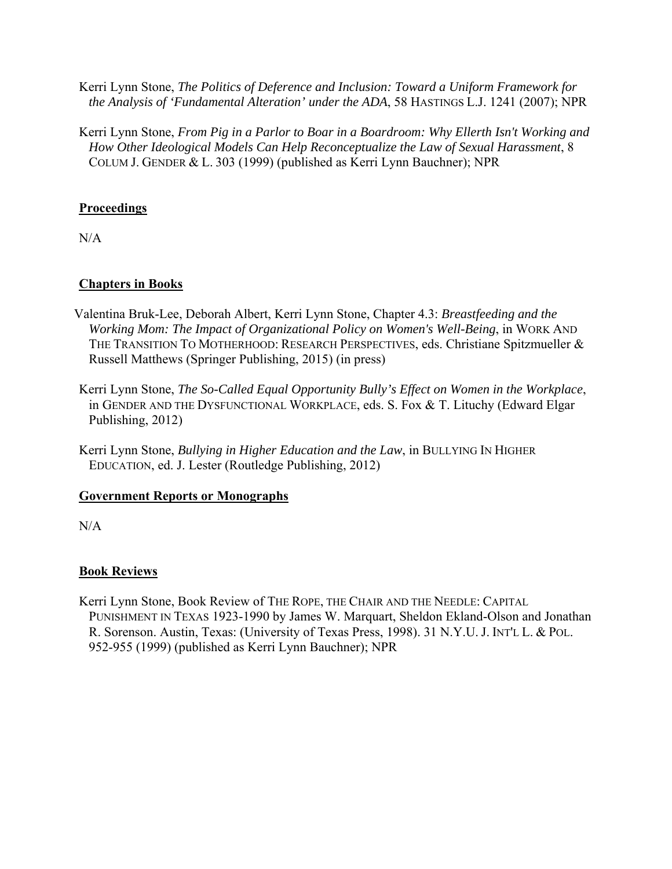Kerri Lynn Stone, *The Politics of Deference and Inclusion: Toward a Uniform Framework for the Analysis of 'Fundamental Alteration' under the ADA*, 58 HASTINGS L.J. 1241 (2007); NPR

Kerri Lynn Stone, *From Pig in a Parlor to Boar in a Boardroom: Why Ellerth Isn't Working and How Other Ideological Models Can Help Reconceptualize the Law of Sexual Harassment*, 8 COLUM J. GENDER & L. 303 (1999) (published as Kerri Lynn Bauchner); NPR

#### **Proceedings**

N/A

## **Chapters in Books**

- Valentina Bruk-Lee, Deborah Albert, Kerri Lynn Stone, Chapter 4.3: *Breastfeeding and the Working Mom: The Impact of Organizational Policy on Women's Well-Being*, in WORK AND THE TRANSITION TO MOTHERHOOD: RESEARCH PERSPECTIVES, eds. Christiane Spitzmueller & Russell Matthews (Springer Publishing, 2015) (in press)
- Kerri Lynn Stone, *The So-Called Equal Opportunity Bully's Effect on Women in the Workplace*, in GENDER AND THE DYSFUNCTIONAL WORKPLACE, eds. S. Fox & T. Lituchy (Edward Elgar Publishing, 2012)
- Kerri Lynn Stone, *Bullying in Higher Education and the Law*, in BULLYING IN HIGHER EDUCATION, ed. J. Lester (Routledge Publishing, 2012)

#### **Government Reports or Monographs**

N/A

#### **Book Reviews**

Kerri Lynn Stone, Book Review of THE ROPE, THE CHAIR AND THE NEEDLE: CAPITAL PUNISHMENT IN TEXAS 1923-1990 by James W. Marquart, Sheldon Ekland-Olson and Jonathan R. Sorenson. Austin, Texas: (University of Texas Press, 1998). 31 N.Y.U. J. INT'L L. & POL. 952-955 (1999) (published as Kerri Lynn Bauchner); NPR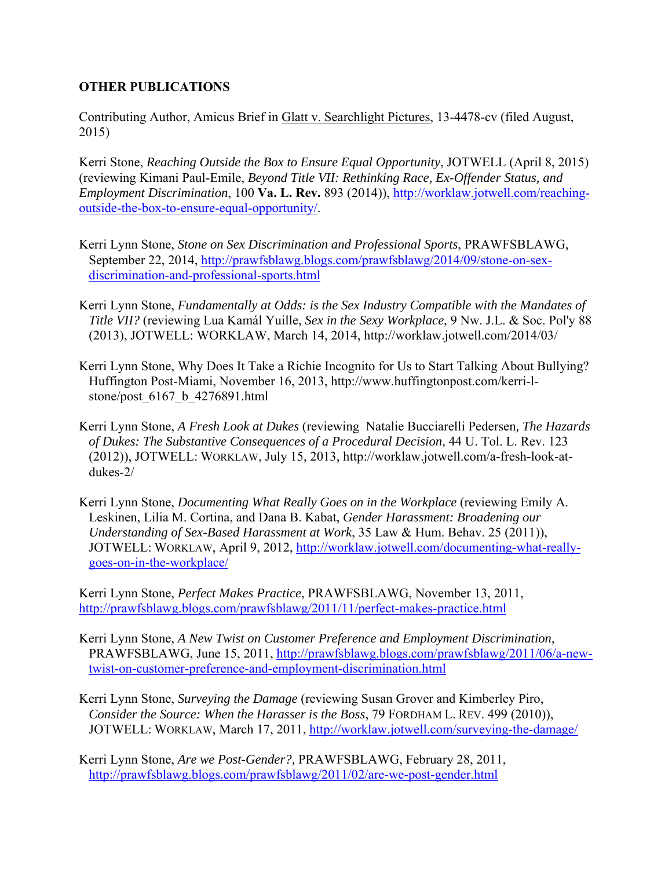#### **OTHER PUBLICATIONS**

Contributing Author, Amicus Brief in Glatt v. Searchlight Pictures, 13-4478-cv (filed August, 2015)

Kerri Stone, *Reaching Outside the Box to Ensure Equal Opportunity*, JOTWELL (April 8, 2015) (reviewing Kimani Paul-Emile, *Beyond Title VII: Rethinking Race, Ex-Offender Status, and Employment Discrimination*, 100 **Va. L. Rev.** 893 (2014)), http://worklaw.jotwell.com/reachingoutside-the-box-to-ensure-equal-opportunity/.

- Kerri Lynn Stone, *Stone on Sex Discrimination and Professional Sports*, PRAWFSBLAWG, September 22, 2014, http://prawfsblawg.blogs.com/prawfsblawg/2014/09/stone-on-sexdiscrimination-and-professional-sports.html
- Kerri Lynn Stone, *Fundamentally at Odds: is the Sex Industry Compatible with the Mandates of Title VII?* (reviewing Lua Kamál Yuille, *Sex in the Sexy Workplace*, 9 Nw. J.L. & Soc. Pol'y 88 (2013), JOTWELL: WORKLAW, March 14, 2014, http://worklaw.jotwell.com/2014/03/
- Kerri Lynn Stone, Why Does It Take a Richie Incognito for Us to Start Talking About Bullying? Huffington Post-Miami, November 16, 2013, http://www.huffingtonpost.com/kerri-lstone/post\_6167\_b\_4276891.html
- Kerri Lynn Stone, *A Fresh Look at Dukes* (reviewing Natalie Bucciarelli Pedersen*, The Hazards of Dukes: The Substantive Consequences of a Procedural Decision,* 44 U. Tol. L. Rev. 123 (2012)), JOTWELL: WORKLAW, July 15, 2013, http://worklaw.jotwell.com/a-fresh-look-atdukes-2/
- Kerri Lynn Stone, *Documenting What Really Goes on in the Workplace* (reviewing Emily A. Leskinen, Lilia M. Cortina, and Dana B. Kabat, *Gender Harassment: Broadening our Understanding of Sex-Based Harassment at Work*, 35 Law & Hum. Behav. 25 (2011)), JOTWELL: WORKLAW, April 9, 2012, http://worklaw.jotwell.com/documenting-what-reallygoes-on-in-the-workplace/

Kerri Lynn Stone, *Perfect Makes Practice*, PRAWFSBLAWG, November 13, 2011, http://prawfsblawg.blogs.com/prawfsblawg/2011/11/perfect-makes-practice.html

- Kerri Lynn Stone, *A New Twist on Customer Preference and Employment Discrimination*, PRAWFSBLAWG, June 15, 2011, http://prawfsblawg.blogs.com/prawfsblawg/2011/06/a-newtwist-on-customer-preference-and-employment-discrimination.html
- Kerri Lynn Stone, *Surveying the Damage* (reviewing Susan Grover and Kimberley Piro, *Consider the Source: When the Harasser is the Boss*, 79 FORDHAM L. REV. 499 (2010)), JOTWELL: WORKLAW, March 17, 2011, http://worklaw.jotwell.com/surveying-the-damage/

Kerri Lynn Stone, *Are we Post-Gender?,* PRAWFSBLAWG, February 28, 2011, http://prawfsblawg.blogs.com/prawfsblawg/2011/02/are-we-post-gender.html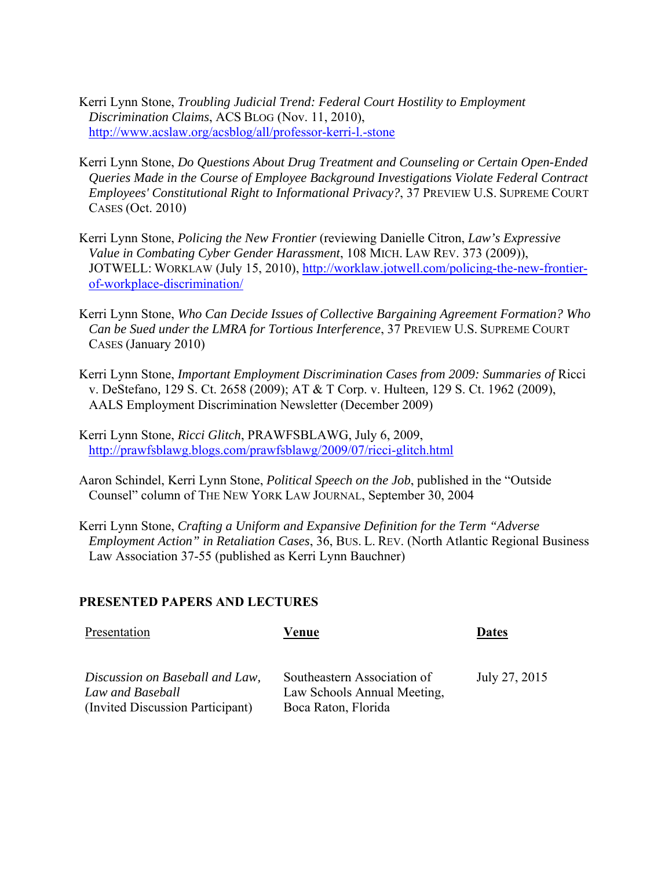Kerri Lynn Stone, *Troubling Judicial Trend: Federal Court Hostility to Employment Discrimination Claims*, ACS BLOG (Nov. 11, 2010), http://www.acslaw.org/acsblog/all/professor-kerri-l.-stone

- Kerri Lynn Stone, *Do Questions About Drug Treatment and Counseling or Certain Open-Ended Queries Made in the Course of Employee Background Investigations Violate Federal Contract Employees' Constitutional Right to Informational Privacy?*, 37 PREVIEW U.S. SUPREME COURT CASES (Oct. 2010)
- Kerri Lynn Stone, *Policing the New Frontier* (reviewing Danielle Citron, *Law's Expressive Value in Combating Cyber Gender Harassment*, 108 MICH. LAW REV. 373 (2009)), JOTWELL: WORKLAW (July 15, 2010), http://worklaw.jotwell.com/policing-the-new-frontierof-workplace-discrimination/
- Kerri Lynn Stone, *Who Can Decide Issues of Collective Bargaining Agreement Formation? Who Can be Sued under the LMRA for Tortious Interference*, 37 PREVIEW U.S. SUPREME COURT CASES (January 2010)
- Kerri Lynn Stone, *Important Employment Discrimination Cases from 2009: Summaries of* Ricci v. DeStefano*,* 129 S. Ct. 2658 (2009); AT & T Corp. v. Hulteen*,* 129 S. Ct. 1962 (2009), AALS Employment Discrimination Newsletter (December 2009)
- Kerri Lynn Stone, *Ricci Glitch*, PRAWFSBLAWG, July 6, 2009, http://prawfsblawg.blogs.com/prawfsblawg/2009/07/ricci-glitch.html
- Aaron Schindel, Kerri Lynn Stone, *Political Speech on the Job*, published in the "Outside Counsel" column of THE NEW YORK LAW JOURNAL, September 30, 2004
- Kerri Lynn Stone, *Crafting a Uniform and Expansive Definition for the Term "Adverse Employment Action" in Retaliation Cases*, 36, BUS. L. REV. (North Atlantic Regional Business Law Association 37-55 (published as Kerri Lynn Bauchner)

#### **PRESENTED PAPERS AND LECTURES**

| Presentation                     | Venue                       | <b>Dates</b>  |
|----------------------------------|-----------------------------|---------------|
| Discussion on Baseball and Law,  | Southeastern Association of | July 27, 2015 |
| Law and Baseball                 | Law Schools Annual Meeting, |               |
| (Invited Discussion Participant) | Boca Raton, Florida         |               |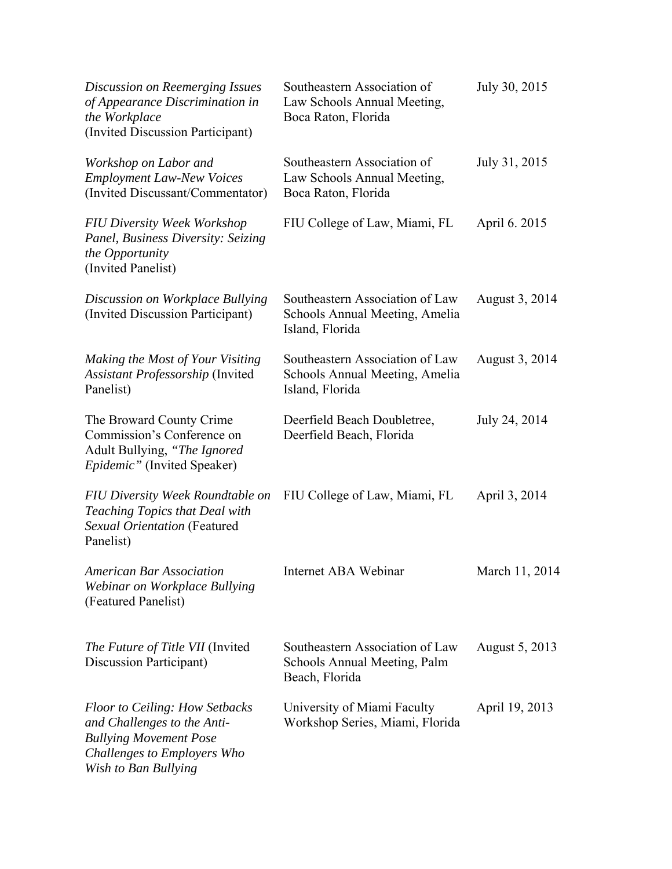| Discussion on Reemerging Issues<br>of Appearance Discrimination in<br>the Workplace<br>(Invited Discussion Participant)                                      | Southeastern Association of<br>Law Schools Annual Meeting,<br>Boca Raton, Florida    | July 30, 2015  |
|--------------------------------------------------------------------------------------------------------------------------------------------------------------|--------------------------------------------------------------------------------------|----------------|
| Workshop on Labor and<br><b>Employment Law-New Voices</b><br>(Invited Discussant/Commentator)                                                                | Southeastern Association of<br>Law Schools Annual Meeting,<br>Boca Raton, Florida    | July 31, 2015  |
| <b>FIU Diversity Week Workshop</b><br>Panel, Business Diversity: Seizing<br>the Opportunity<br>(Invited Panelist)                                            | FIU College of Law, Miami, FL                                                        | April 6. 2015  |
| Discussion on Workplace Bullying<br>(Invited Discussion Participant)                                                                                         | Southeastern Association of Law<br>Schools Annual Meeting, Amelia<br>Island, Florida | August 3, 2014 |
| Making the Most of Your Visiting<br>Assistant Professorship (Invited<br>Panelist)                                                                            | Southeastern Association of Law<br>Schools Annual Meeting, Amelia<br>Island, Florida | August 3, 2014 |
| The Broward County Crime<br>Commission's Conference on<br>Adult Bullying, "The Ignored<br>Epidemic" (Invited Speaker)                                        | Deerfield Beach Doubletree,<br>Deerfield Beach, Florida                              | July 24, 2014  |
| FIU Diversity Week Roundtable on<br><b>Teaching Topics that Deal with</b><br>Sexual Orientation (Featured<br>Panelist)                                       | FIU College of Law, Miami, FL                                                        | April 3, 2014  |
| <b>American Bar Association</b><br>Webinar on Workplace Bullying<br>(Featured Panelist)                                                                      | Internet ABA Webinar                                                                 | March 11, 2014 |
| <i>The Future of Title VII</i> (Invited<br>Discussion Participant)                                                                                           | Southeastern Association of Law<br>Schools Annual Meeting, Palm<br>Beach, Florida    | August 5, 2013 |
| <b>Floor to Ceiling: How Setbacks</b><br>and Challenges to the Anti-<br><b>Bullying Movement Pose</b><br>Challenges to Employers Who<br>Wish to Ban Bullying | University of Miami Faculty<br>Workshop Series, Miami, Florida                       | April 19, 2013 |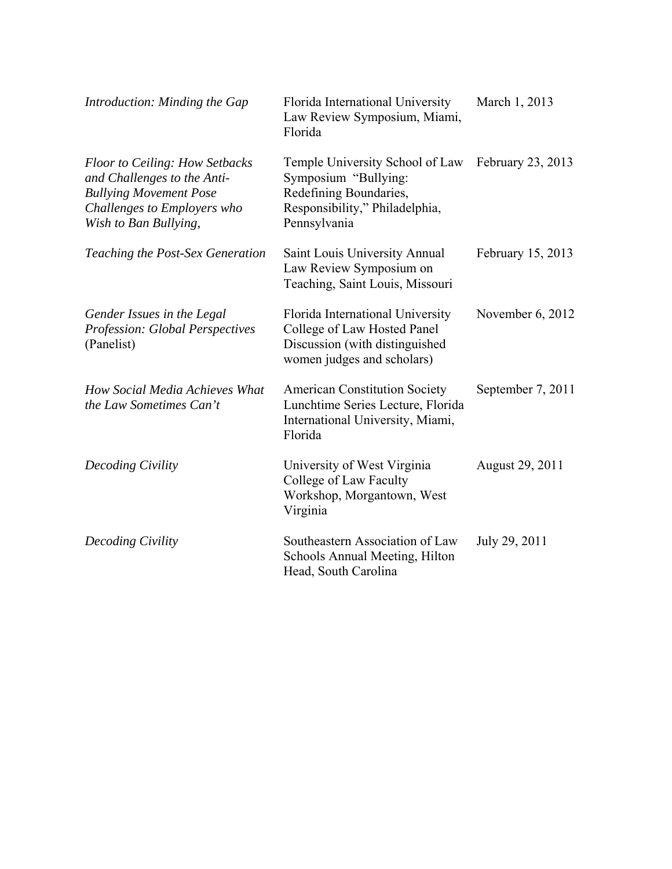| Introduction: Minding the Gap                                                                                                                                 | Florida International University<br>Law Review Symposium, Miami,<br>Florida                                                         | March 1, 2013     |
|---------------------------------------------------------------------------------------------------------------------------------------------------------------|-------------------------------------------------------------------------------------------------------------------------------------|-------------------|
| <b>Floor to Ceiling: How Setbacks</b><br>and Challenges to the Anti-<br><b>Bullying Movement Pose</b><br>Challenges to Employers who<br>Wish to Ban Bullying, | Temple University School of Law<br>Symposium "Bullying:<br>Redefining Boundaries,<br>Responsibility," Philadelphia,<br>Pennsylvania | February 23, 2013 |
| Teaching the Post-Sex Generation                                                                                                                              | Saint Louis University Annual<br>Law Review Symposium on<br>Teaching, Saint Louis, Missouri                                         | February 15, 2013 |
| Gender Issues in the Legal<br>Profession: Global Perspectives<br>(Panelist)                                                                                   | Florida International University<br>College of Law Hosted Panel<br>Discussion (with distinguished<br>women judges and scholars)     | November 6, 2012  |
| How Social Media Achieves What<br>the Law Sometimes Can't                                                                                                     | <b>American Constitution Society</b><br>Lunchtime Series Lecture, Florida<br>International University, Miami,<br>Florida            | September 7, 2011 |
| Decoding Civility                                                                                                                                             | University of West Virginia<br>College of Law Faculty<br>Workshop, Morgantown, West<br>Virginia                                     | August 29, 2011   |
| Decoding Civility                                                                                                                                             | Southeastern Association of Law<br>Schools Annual Meeting, Hilton<br>Head, South Carolina                                           | July 29, 2011     |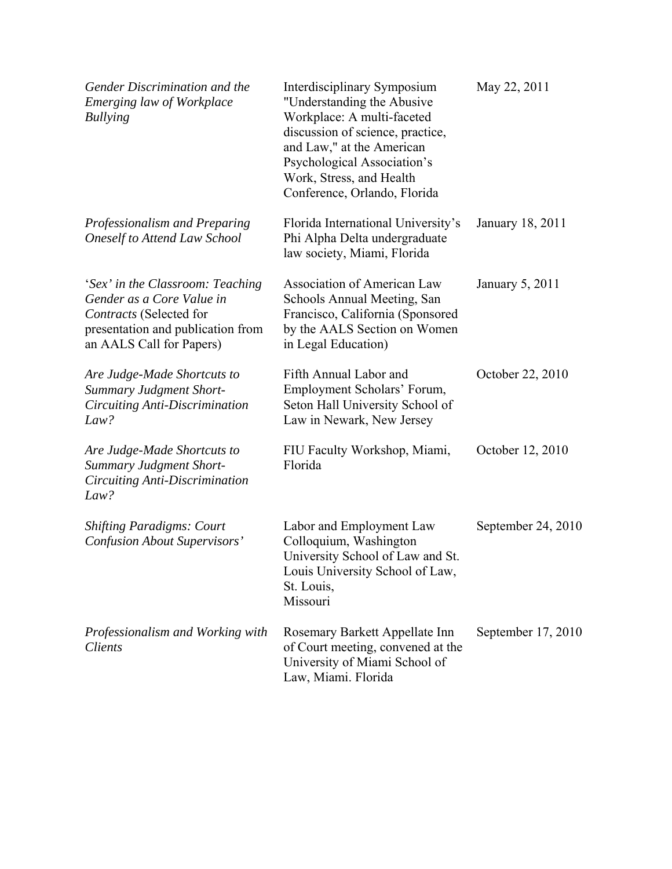| Gender Discrimination and the<br>Emerging law of Workplace<br><b>Bullying</b>                                                                             | Interdisciplinary Symposium<br>"Understanding the Abusive<br>Workplace: A multi-faceted<br>discussion of science, practice,<br>and Law," at the American<br>Psychological Association's<br>Work, Stress, and Health<br>Conference, Orlando, Florida | May 22, 2011       |
|-----------------------------------------------------------------------------------------------------------------------------------------------------------|-----------------------------------------------------------------------------------------------------------------------------------------------------------------------------------------------------------------------------------------------------|--------------------|
| Professionalism and Preparing<br><b>Oneself to Attend Law School</b>                                                                                      | Florida International University's<br>Phi Alpha Delta undergraduate<br>law society, Miami, Florida                                                                                                                                                  | January 18, 2011   |
| 'Sex' in the Classroom: Teaching<br>Gender as a Core Value in<br>Contracts (Selected for<br>presentation and publication from<br>an AALS Call for Papers) | Association of American Law<br>Schools Annual Meeting, San<br>Francisco, California (Sponsored<br>by the AALS Section on Women<br>in Legal Education)                                                                                               | January 5, 2011    |
| Are Judge-Made Shortcuts to<br><b>Summary Judgment Short-</b><br>Circuiting Anti-Discrimination<br>Law?                                                   | Fifth Annual Labor and<br>Employment Scholars' Forum,<br>Seton Hall University School of<br>Law in Newark, New Jersey                                                                                                                               | October 22, 2010   |
| Are Judge-Made Shortcuts to<br><b>Summary Judgment Short-</b><br>Circuiting Anti-Discrimination<br>Law?                                                   | FIU Faculty Workshop, Miami,<br>Florida                                                                                                                                                                                                             | October 12, 2010   |
| <b>Shifting Paradigms: Court</b><br><b>Confusion About Supervisors'</b>                                                                                   | Labor and Employment Law<br>Colloquium, Washington<br>University School of Law and St.<br>Louis University School of Law,<br>St. Louis,<br>Missouri                                                                                                 | September 24, 2010 |
| Professionalism and Working with<br><i>Clients</i>                                                                                                        | Rosemary Barkett Appellate Inn<br>of Court meeting, convened at the<br>University of Miami School of<br>Law, Miami. Florida                                                                                                                         | September 17, 2010 |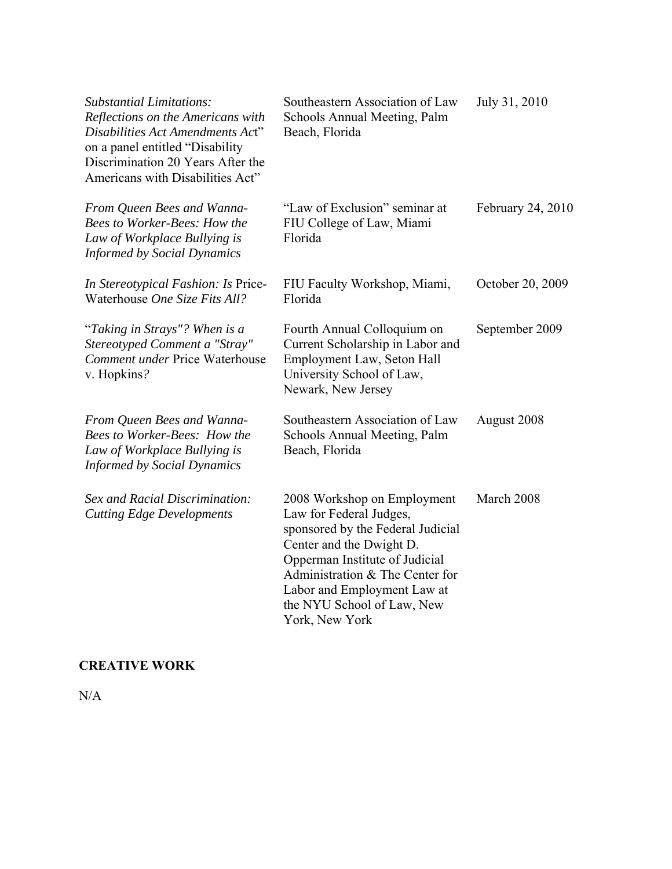| <b>Substantial Limitations:</b><br>Reflections on the Americans with<br>Disabilities Act Amendments Act"<br>on a panel entitled "Disability<br>Discrimination 20 Years After the<br>Americans with Disabilities Act" | Southeastern Association of Law<br>Schools Annual Meeting, Palm<br>Beach, Florida                                                                                                                                                                                           | July 31, 2010     |
|----------------------------------------------------------------------------------------------------------------------------------------------------------------------------------------------------------------------|-----------------------------------------------------------------------------------------------------------------------------------------------------------------------------------------------------------------------------------------------------------------------------|-------------------|
| From Queen Bees and Wanna-<br><b>Bees to Worker-Bees: How the</b><br>Law of Workplace Bullying is<br><b>Informed by Social Dynamics</b>                                                                              | "Law of Exclusion" seminar at<br>FIU College of Law, Miami<br>Florida                                                                                                                                                                                                       | February 24, 2010 |
| In Stereotypical Fashion: Is Price-<br>Waterhouse One Size Fits All?                                                                                                                                                 | FIU Faculty Workshop, Miami,<br>Florida                                                                                                                                                                                                                                     | October 20, 2009  |
| "Taking in Strays"? When is a<br>Stereotyped Comment a "Stray"<br><b>Comment under Price Waterhouse</b><br>v. Hopkins?                                                                                               | Fourth Annual Colloquium on<br>Current Scholarship in Labor and<br>Employment Law, Seton Hall<br>University School of Law,<br>Newark, New Jersey                                                                                                                            | September 2009    |
| From Queen Bees and Wanna-<br>Bees to Worker-Bees: How the<br>Law of Workplace Bullying is<br><b>Informed by Social Dynamics</b>                                                                                     | Southeastern Association of Law<br>Schools Annual Meeting, Palm<br>Beach, Florida                                                                                                                                                                                           | August 2008       |
| Sex and Racial Discrimination:<br><b>Cutting Edge Developments</b>                                                                                                                                                   | 2008 Workshop on Employment<br>Law for Federal Judges,<br>sponsored by the Federal Judicial<br>Center and the Dwight D.<br>Opperman Institute of Judicial<br>Administration & The Center for<br>Labor and Employment Law at<br>the NYU School of Law, New<br>York, New York | March 2008        |

## **CREATIVE WORK**

N/A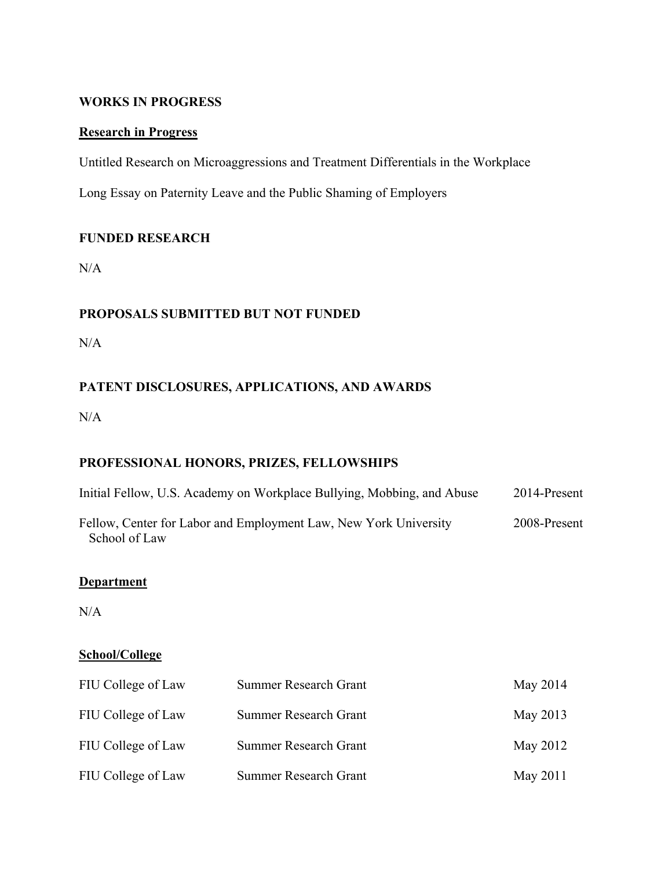#### **WORKS IN PROGRESS**

#### **Research in Progress**

Untitled Research on Microaggressions and Treatment Differentials in the Workplace

Long Essay on Paternity Leave and the Public Shaming of Employers

#### **FUNDED RESEARCH**

N/A

## **PROPOSALS SUBMITTED BUT NOT FUNDED**

N/A

## **PATENT DISCLOSURES, APPLICATIONS, AND AWARDS**

N/A

## **PROFESSIONAL HONORS, PRIZES, FELLOWSHIPS**

| Initial Fellow, U.S. Academy on Workplace Bullying, Mobbing, and Abuse            | 2014-Present |
|-----------------------------------------------------------------------------------|--------------|
| Fellow, Center for Labor and Employment Law, New York University<br>School of Law | 2008-Present |

#### **Department**

N/A

#### **School/College**

| FIU College of Law | <b>Summer Research Grant</b> | May 2014 |
|--------------------|------------------------------|----------|
| FIU College of Law | <b>Summer Research Grant</b> | May 2013 |
| FIU College of Law | <b>Summer Research Grant</b> | May 2012 |
| FIU College of Law | <b>Summer Research Grant</b> | May 2011 |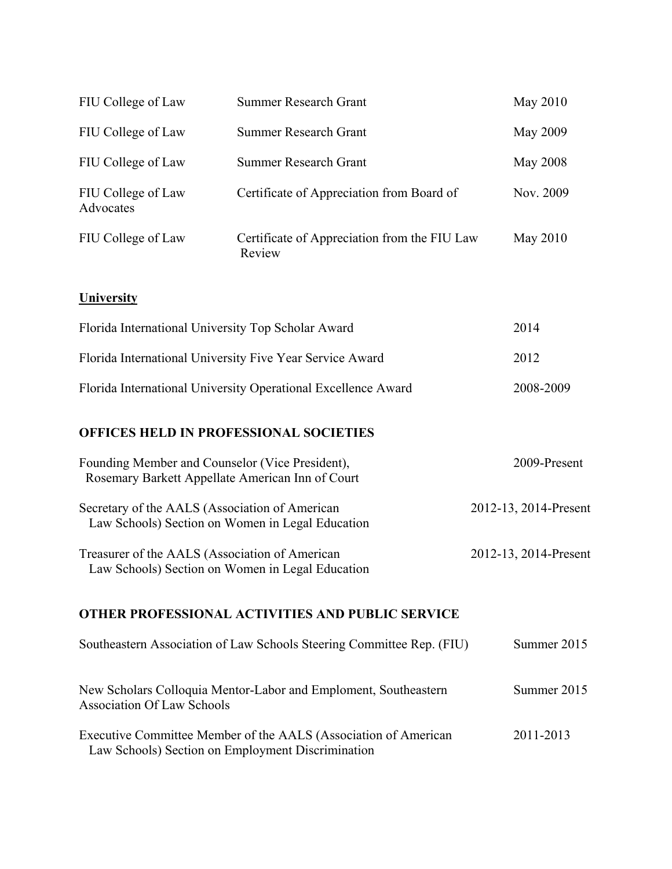| FIU College of Law                                                                                  | <b>Summer Research Grant</b>                                          | May 2010              |
|-----------------------------------------------------------------------------------------------------|-----------------------------------------------------------------------|-----------------------|
| FIU College of Law                                                                                  | <b>Summer Research Grant</b>                                          | <b>May 2009</b>       |
| FIU College of Law                                                                                  | <b>Summer Research Grant</b>                                          | <b>May 2008</b>       |
| FIU College of Law<br>Advocates                                                                     | Certificate of Appreciation from Board of                             | Nov. 2009             |
| FIU College of Law                                                                                  | Certificate of Appreciation from the FIU Law<br>Review                | May 2010              |
| <b>University</b>                                                                                   |                                                                       |                       |
| Florida International University Top Scholar Award                                                  | 2014                                                                  |                       |
| Florida International University Five Year Service Award                                            | 2012                                                                  |                       |
| Florida International University Operational Excellence Award                                       | 2008-2009                                                             |                       |
|                                                                                                     | OFFICES HELD IN PROFESSIONAL SOCIETIES                                |                       |
| Founding Member and Counselor (Vice President),<br>Rosemary Barkett Appellate American Inn of Court |                                                                       | 2009-Present          |
| Secretary of the AALS (Association of American<br>Law Schools) Section on Women in Legal Education  | 2012-13, 2014-Present                                                 |                       |
| Treasurer of the AALS (Association of American<br>Law Schools) Section on Women in Legal Education  |                                                                       | 2012-13, 2014-Present |
|                                                                                                     | <b>OTHER PROFESSIONAL ACTIVITIES AND PUBLIC SERVICE</b>               |                       |
|                                                                                                     | Southeastern Association of Law Schools Steering Committee Rep. (FIU) | Summer 2015           |
| <b>Association Of Law Schools</b>                                                                   | New Scholars Colloquia Mentor-Labor and Emploment, Southeastern       | Summer 2015           |
|                                                                                                     | Executive Committee Member of the AALS (Association of American       | 2011-2013             |

Law Schools) Section on Employment Discrimination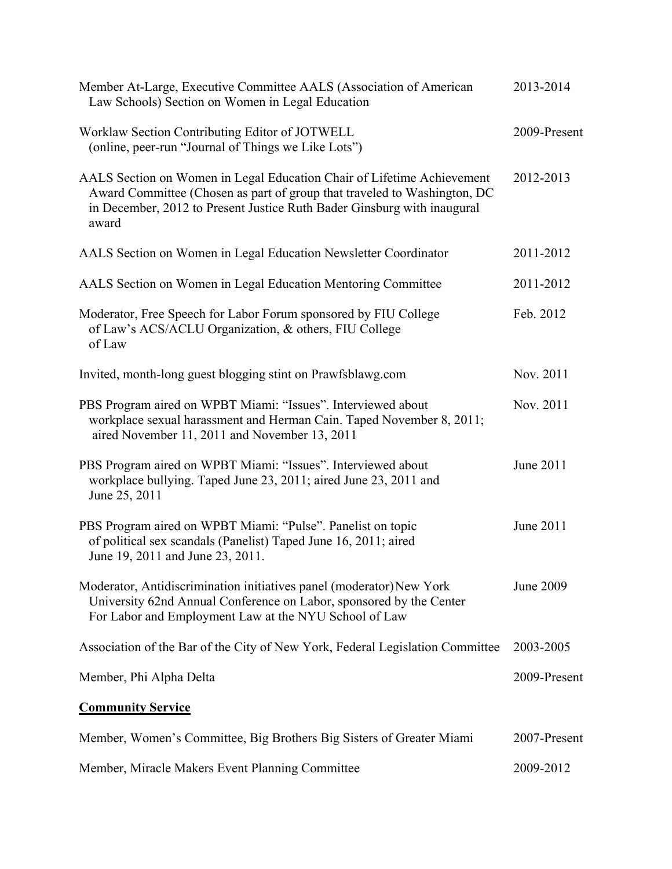| Member At-Large, Executive Committee AALS (Association of American<br>Law Schools) Section on Women in Legal Education                                                                                                                 | 2013-2014    |
|----------------------------------------------------------------------------------------------------------------------------------------------------------------------------------------------------------------------------------------|--------------|
| Worklaw Section Contributing Editor of JOTWELL<br>(online, peer-run "Journal of Things we Like Lots")                                                                                                                                  | 2009-Present |
| AALS Section on Women in Legal Education Chair of Lifetime Achievement<br>Award Committee (Chosen as part of group that traveled to Washington, DC<br>in December, 2012 to Present Justice Ruth Bader Ginsburg with inaugural<br>award | 2012-2013    |
| AALS Section on Women in Legal Education Newsletter Coordinator                                                                                                                                                                        | 2011-2012    |
| AALS Section on Women in Legal Education Mentoring Committee                                                                                                                                                                           | 2011-2012    |
| Moderator, Free Speech for Labor Forum sponsored by FIU College<br>of Law's ACS/ACLU Organization, & others, FIU College<br>of Law                                                                                                     | Feb. 2012    |
| Invited, month-long guest blogging stint on Prawfsblawg.com                                                                                                                                                                            | Nov. 2011    |
| PBS Program aired on WPBT Miami: "Issues". Interviewed about<br>workplace sexual harassment and Herman Cain. Taped November 8, 2011;<br>aired November 11, 2011 and November 13, 2011                                                  | Nov. 2011    |
| PBS Program aired on WPBT Miami: "Issues". Interviewed about<br>workplace bullying. Taped June 23, 2011; aired June 23, 2011 and<br>June 25, 2011                                                                                      | June 2011    |
| PBS Program aired on WPBT Miami: "Pulse". Panelist on topic<br>of political sex scandals (Panelist) Taped June 16, 2011; aired<br>June 19, 2011 and June 23, 2011.                                                                     | June 2011    |
| Moderator, Antidiscrimination initiatives panel (moderator) New York<br>University 62nd Annual Conference on Labor, sponsored by the Center<br>For Labor and Employment Law at the NYU School of Law                                   | June 2009    |
| Association of the Bar of the City of New York, Federal Legislation Committee                                                                                                                                                          | 2003-2005    |
| Member, Phi Alpha Delta                                                                                                                                                                                                                | 2009-Present |
| <b>Community Service</b>                                                                                                                                                                                                               |              |
| Member, Women's Committee, Big Brothers Big Sisters of Greater Miami                                                                                                                                                                   | 2007-Present |
| Member, Miracle Makers Event Planning Committee                                                                                                                                                                                        | 2009-2012    |
|                                                                                                                                                                                                                                        |              |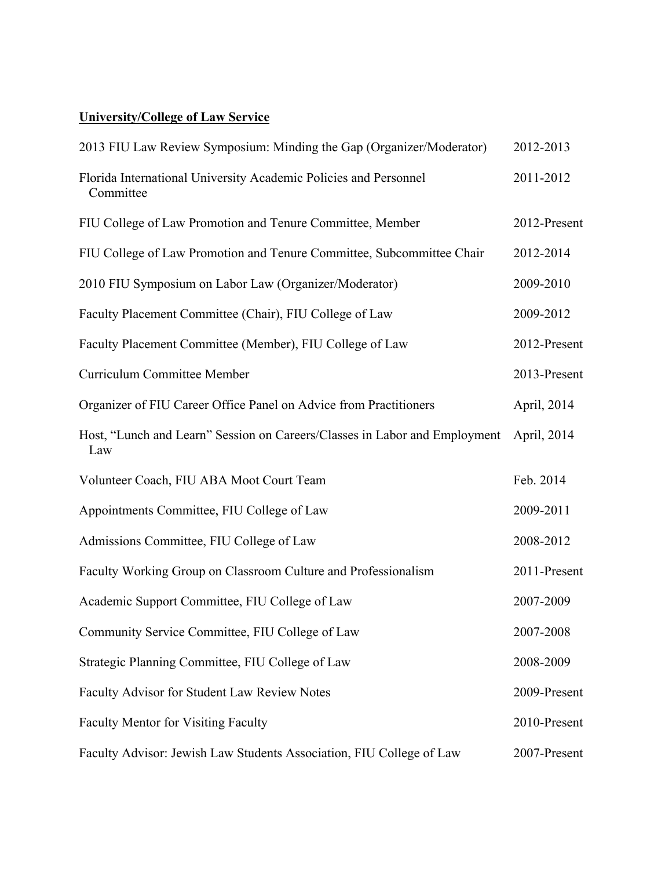# **University/College of Law Service**

| 2013 FIU Law Review Symposium: Minding the Gap (Organizer/Moderator)              | 2012-2013    |
|-----------------------------------------------------------------------------------|--------------|
| Florida International University Academic Policies and Personnel<br>Committee     | 2011-2012    |
| FIU College of Law Promotion and Tenure Committee, Member                         | 2012-Present |
| FIU College of Law Promotion and Tenure Committee, Subcommittee Chair             | 2012-2014    |
| 2010 FIU Symposium on Labor Law (Organizer/Moderator)                             | 2009-2010    |
| Faculty Placement Committee (Chair), FIU College of Law                           | 2009-2012    |
| Faculty Placement Committee (Member), FIU College of Law                          | 2012-Present |
| <b>Curriculum Committee Member</b>                                                | 2013-Present |
| Organizer of FIU Career Office Panel on Advice from Practitioners                 | April, 2014  |
| Host, "Lunch and Learn" Session on Careers/Classes in Labor and Employment<br>Law | April, 2014  |
| Volunteer Coach, FIU ABA Moot Court Team                                          | Feb. 2014    |
| Appointments Committee, FIU College of Law                                        | 2009-2011    |
| Admissions Committee, FIU College of Law                                          | 2008-2012    |
| Faculty Working Group on Classroom Culture and Professionalism                    | 2011-Present |
| Academic Support Committee, FIU College of Law                                    | 2007-2009    |
| Community Service Committee, FIU College of Law                                   | 2007-2008    |
| Strategic Planning Committee, FIU College of Law                                  | 2008-2009    |
| Faculty Advisor for Student Law Review Notes                                      | 2009-Present |
| <b>Faculty Mentor for Visiting Faculty</b>                                        | 2010-Present |
| Faculty Advisor: Jewish Law Students Association, FIU College of Law              | 2007-Present |